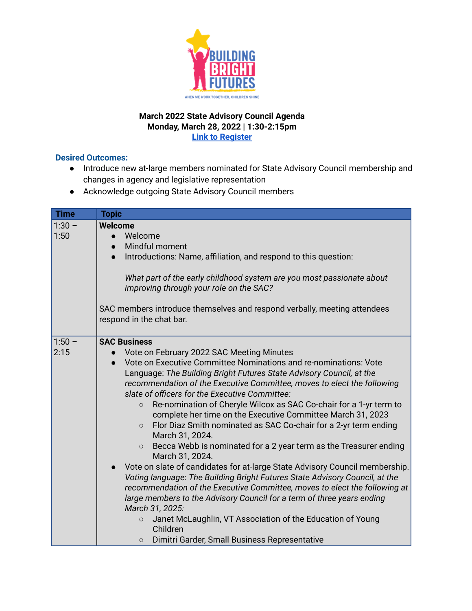

### **March 2022 State Advisory Council Agenda Monday, March 28, 2022 | 1:30-2:15pm Link to [Register](https://us02web.zoom.us/meeting/register/tZ0vcO-orjMpEtMDWv8OgQ4hi4dx7y_cxPLT)**

# **Desired Outcomes:**

- Introduce new at-large members nominated for State Advisory Council membership and changes in agency and legislative representation
- Acknowledge outgoing State Advisory Council members

| <b>Time</b>      | <b>Topic</b>                                                                                                                                                                                                                                                                                                                                                                                                                                                                                                                                                                                                                                                                                                                                                                                                                                                                                                                                                                                                                                                                                                                                                                             |
|------------------|------------------------------------------------------------------------------------------------------------------------------------------------------------------------------------------------------------------------------------------------------------------------------------------------------------------------------------------------------------------------------------------------------------------------------------------------------------------------------------------------------------------------------------------------------------------------------------------------------------------------------------------------------------------------------------------------------------------------------------------------------------------------------------------------------------------------------------------------------------------------------------------------------------------------------------------------------------------------------------------------------------------------------------------------------------------------------------------------------------------------------------------------------------------------------------------|
| $1:30 -$<br>1:50 | Welcome<br>Welcome<br>Mindful moment<br>$\bullet$<br>Introductions: Name, affiliation, and respond to this question:<br>What part of the early childhood system are you most passionate about<br>improving through your role on the SAC?<br>SAC members introduce themselves and respond verbally, meeting attendees<br>respond in the chat bar.                                                                                                                                                                                                                                                                                                                                                                                                                                                                                                                                                                                                                                                                                                                                                                                                                                         |
| $1:50 -$<br>2:15 | <b>SAC Business</b><br>Vote on February 2022 SAC Meeting Minutes<br>Vote on Executive Committee Nominations and re-nominations: Vote<br>Language: The Building Bright Futures State Advisory Council, at the<br>recommendation of the Executive Committee, moves to elect the following<br>slate of officers for the Executive Committee:<br>Re-nomination of Cheryle Wilcox as SAC Co-chair for a 1-yr term to<br>$\circ$<br>complete her time on the Executive Committee March 31, 2023<br>Flor Diaz Smith nominated as SAC Co-chair for a 2-yr term ending<br>$\circ$<br>March 31, 2024.<br>Becca Webb is nominated for a 2 year term as the Treasurer ending<br>$\circ$<br>March 31, 2024.<br>Vote on slate of candidates for at-large State Advisory Council membership.<br>Voting language: The Building Bright Futures State Advisory Council, at the<br>recommendation of the Executive Committee, moves to elect the following at<br>large members to the Advisory Council for a term of three years ending<br>March 31, 2025:<br>Janet McLaughlin, VT Association of the Education of Young<br>$\circ$<br>Children<br>Dimitri Garder, Small Business Representative<br>$\circ$ |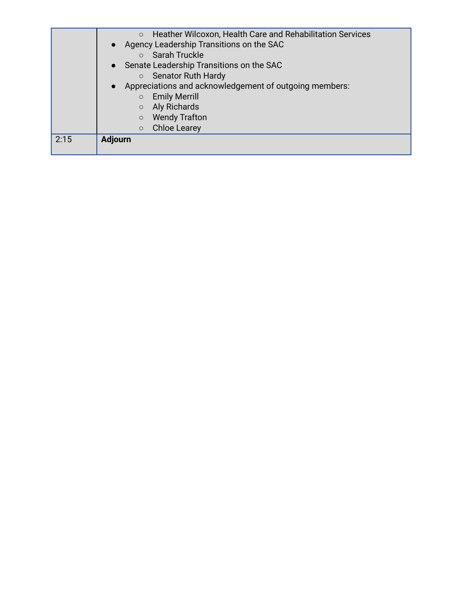|      | Heather Wilcoxon, Health Care and Rehabilitation Services<br>$\circ$ |
|------|----------------------------------------------------------------------|
|      | • Agency Leadership Transitions on the SAC<br>○ Sarah Truckle        |
|      | • Senate Leadership Transitions on the SAC                           |
|      | <b>Senator Ruth Hardy</b><br>$\circ$                                 |
|      | Appreciations and acknowledgement of outgoing members:               |
|      | <b>Emily Merrill</b><br>$\circ$                                      |
|      | Aly Richards<br>$\circ$                                              |
|      | <b>Wendy Trafton</b><br>$\circ$                                      |
|      | <b>Chloe Learey</b><br>$\circ$                                       |
| 2:15 | <b>Adjourn</b>                                                       |
|      |                                                                      |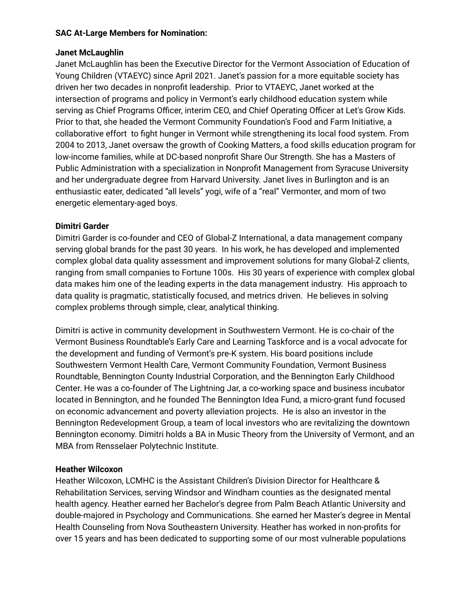#### **SAC At-Large Members for Nomination:**

### **Janet McLaughlin**

Janet McLaughlin has been the Executive Director for the Vermont Association of Education of Young Children (VTAEYC) since April 2021. Janet's passion for a more equitable society has driven her two decades in nonprofit leadership. Prior to VTAEYC, Janet worked at the intersection of programs and policy in Vermont's early childhood education system while serving as Chief Programs Officer, interim CEO, and Chief Operating Officer at Let's Grow Kids. Prior to that, she headed the Vermont Community Foundation's Food and Farm Initiative, a collaborative effort to fight hunger in Vermont while strengthening its local food system. From 2004 to 2013, Janet oversaw the growth of Cooking Matters, a food skills education program for low-income families, while at DC-based nonprofit Share Our Strength. She has a Masters of Public Administration with a specialization in Nonprofit Management from Syracuse University and her undergraduate degree from Harvard University. Janet lives in Burlington and is an enthusiastic eater, dedicated "all levels" yogi, wife of a "real" Vermonter, and mom of two energetic elementary-aged boys.

### **Dimitri Garder**

Dimitri Garder is co-founder and CEO of Global-Z International, a data management company serving global brands for the past 30 years. In his work, he has developed and implemented complex global data quality assessment and improvement solutions for many Global-Z clients, ranging from small companies to Fortune 100s. His 30 years of experience with complex global data makes him one of the leading experts in the data management industry. His approach to data quality is pragmatic, statistically focused, and metrics driven. He believes in solving complex problems through simple, clear, analytical thinking.

Dimitri is active in community development in Southwestern Vermont. He is co-chair of the Vermont Business Roundtable's Early Care and Learning Taskforce and is a vocal advocate for the development and funding of Vermont's pre-K system. His board positions include Southwestern Vermont Health Care, Vermont Community Foundation, Vermont Business Roundtable, Bennington County Industrial Corporation, and the Bennington Early Childhood Center. He was a co-founder of The Lightning Jar, a co-working space and business incubator located in Bennington, and he founded The Bennington Idea Fund, a micro-grant fund focused on economic advancement and poverty alleviation projects. He is also an investor in the Bennington Redevelopment Group, a team of local investors who are revitalizing the downtown Bennington economy. Dimitri holds a BA in Music Theory from the University of Vermont, and an MBA from Rensselaer Polytechnic Institute.

# **Heather Wilcoxon**

Heather Wilcoxon, LCMHC is the Assistant Children's Division Director for Healthcare & Rehabilitation Services, serving Windsor and Windham counties as the designated mental health agency. Heather earned her Bachelor's degree from Palm Beach Atlantic University and double-majored in Psychology and Communications. She earned her Master's degree in Mental Health Counseling from Nova Southeastern University. Heather has worked in non-profits for over 15 years and has been dedicated to supporting some of our most vulnerable populations